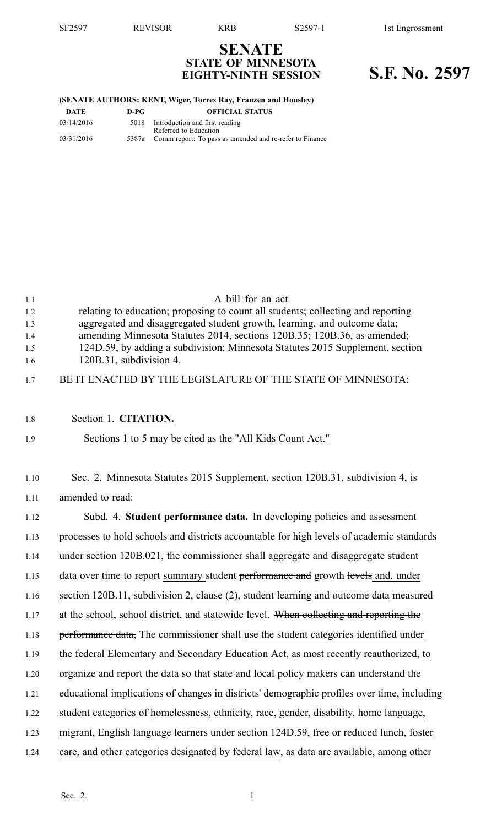## **SENATE STATE OF MINNESOTA EIGHTY-NINTH SESSION S.F. No. 2597**

#### **(SENATE AUTHORS: KENT, Wiger, Torres Ray, Franzen and Housley)**

| DATE       | D-PG | <b>OFFICIAL STATUS</b>                                        |
|------------|------|---------------------------------------------------------------|
| 03/14/2016 | 5018 | Introduction and first reading                                |
|            |      | Referred to Education                                         |
|            |      |                                                               |
| 03/31/2016 |      | 5387a Comm report: To pass as amended and re-refer to Finance |

| 1.1<br>1.2 | A bill for an act<br>relating to education; proposing to count all students; collecting and reporting |
|------------|-------------------------------------------------------------------------------------------------------|
| 1.3        | aggregated and disaggregated student growth, learning, and outcome data;                              |
| 1.4        | amending Minnesota Statutes 2014, sections 120B.35; 120B.36, as amended;                              |
| 1.5        | 124D.59, by adding a subdivision; Minnesota Statutes 2015 Supplement, section                         |
| 1.6        | 120B.31, subdivision 4.                                                                               |
| 1.7        | BE IT ENACTED BY THE LEGISLATURE OF THE STATE OF MINNESOTA:                                           |
|            |                                                                                                       |
| 1.8        | Section 1. CITATION.                                                                                  |
| 1.9        | Sections 1 to 5 may be cited as the "All Kids Count Act."                                             |
|            |                                                                                                       |
| 1.10       | Sec. 2. Minnesota Statutes 2015 Supplement, section 120B.31, subdivision 4, is                        |
| 1.11       | amended to read:                                                                                      |
| 1.12       | Subd. 4. Student performance data. In developing policies and assessment                              |
| 1.13       | processes to hold schools and districts accountable for high levels of academic standards             |
| 1.14       | under section 120B.021, the commissioner shall aggregate and disaggregate student                     |
| 1.15       | data over time to report summary student performance and growth levels and, under                     |
| 1.16       | section 120B.11, subdivision 2, clause (2), student learning and outcome data measured                |
| 1.17       | at the school, school district, and statewide level. When collecting and reporting the                |
| 1.18       | performance data, The commissioner shall use the student categories identified under                  |
| 1.19       | the federal Elementary and Secondary Education Act, as most recently reauthorized, to                 |
| 1.20       | organize and report the data so that state and local policy makers can understand the                 |
| 1.21       | educational implications of changes in districts' demographic profiles over time, including           |
| 1.22       | student categories of homelessness, ethnicity, race, gender, disability, home language,               |
| 1.23       | migrant, English language learners under section 124D.59, free or reduced lunch, foster               |
| 1.24       | care, and other categories designated by federal law, as data are available, among other              |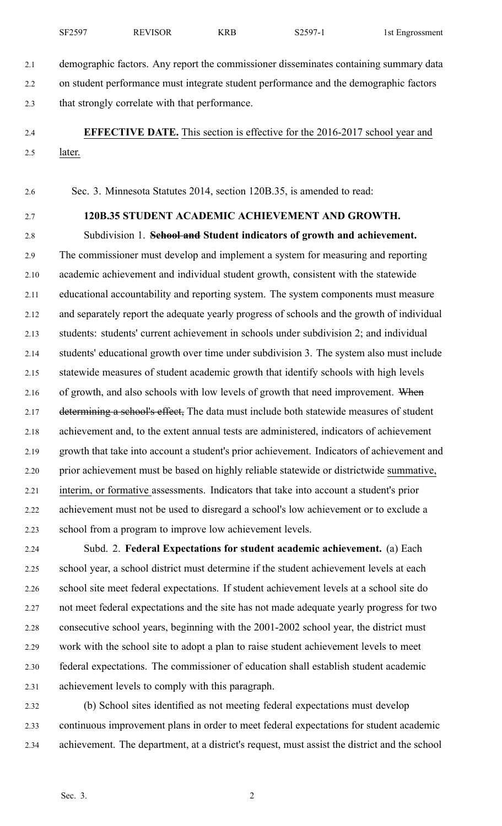2.1 demographic factors. Any repor<sup>t</sup> the commissioner disseminates containing summary data 2.2 on student performance must integrate student performance and the demographic factors 2.3 that strongly correlate with that performance.

2.4 **EFFECTIVE DATE.** This section is effective for the 2016-2017 school year and 2.5 later.

2.6 Sec. 3. Minnesota Statutes 2014, section 120B.35, is amended to read:

## 2.7 **120B.35 STUDENT ACADEMIC ACHIEVEMENT AND GROWTH.**

2.8 Subdivision 1. **School and Student indicators of growth and achievement.** 2.9 The commissioner must develop and implement <sup>a</sup> system for measuring and reporting 2.10 academic achievement and individual student growth, consistent with the statewide 2.11 educational accountability and reporting system. The system components must measure 2.12 and separately repor<sup>t</sup> the adequate yearly progress of schools and the growth of individual 2.13 students: students' current achievement in schools under subdivision 2; and individual 2.14 students' educational growth over time under subdivision 3. The system also must include 2.15 statewide measures of student academic growth that identify schools with high levels 2.16 of growth, and also schools with low levels of growth that need improvement. When 2.17 determining a school's effect, The data must include both statewide measures of student 2.18 achievement and, to the extent annual tests are administered, indicators of achievement 2.19 growth that take into account <sup>a</sup> student's prior achievement. Indicators of achievement and 2.20 prior achievement must be based on highly reliable statewide or districtwide summative, 2.21 interim, or formative assessments. Indicators that take into account <sup>a</sup> student's prior 2.22 achievement must not be used to disregard <sup>a</sup> school's low achievement or to exclude <sup>a</sup> 2.23 school from <sup>a</sup> program to improve low achievement levels.

2.24 Subd. 2. **Federal Expectations for student academic achievement.** (a) Each 2.25 school year, <sup>a</sup> school district must determine if the student achievement levels at each 2.26 school site meet federal expectations. If student achievement levels at <sup>a</sup> school site do 2.27 not meet federal expectations and the site has not made adequate yearly progress for two 2.28 consecutive school years, beginning with the 2001-2002 school year, the district must 2.29 work with the school site to adopt <sup>a</sup> plan to raise student achievement levels to meet 2.30 federal expectations. The commissioner of education shall establish student academic 2.31 achievement levels to comply with this paragraph.

2.32 (b) School sites identified as not meeting federal expectations must develop 2.33 continuous improvement plans in order to meet federal expectations for student academic 2.34 achievement. The department, at <sup>a</sup> district's request, must assist the district and the school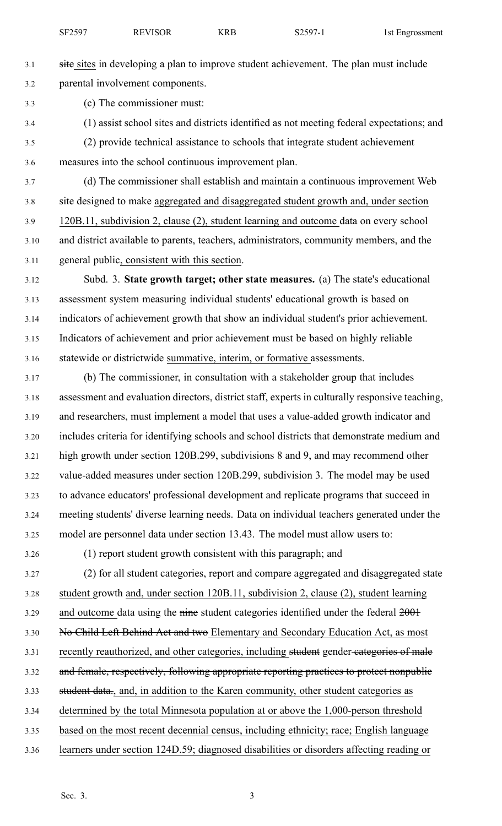- 3.1 site sites in developing a plan to improve student achievement. The plan must include 3.2 parental involvement components.
- 3.3 (c) The commissioner must:
- 3.4 (1) assist school sites and districts identified as not meeting federal expectations; and
- 3.5 (2) provide technical assistance to schools that integrate student achievement 3.6 measures into the school continuous improvement plan.

3.7 (d) The commissioner shall establish and maintain <sup>a</sup> continuous improvement Web 3.8 site designed to make aggregated and disaggregated student growth and, under section 3.9 120B.11, subdivision 2, clause (2), student learning and outcome data on every school 3.10 and district available to parents, teachers, administrators, community members, and the 3.11 general public, consistent with this section.

3.12 Subd. 3. **State growth target; other state measures.** (a) The state's educational 3.13 assessment system measuring individual students' educational growth is based on 3.14 indicators of achievement growth that show an individual student's prior achievement. 3.15 Indicators of achievement and prior achievement must be based on highly reliable 3.16 statewide or districtwide summative, interim, or formative assessments.

3.17 (b) The commissioner, in consultation with <sup>a</sup> stakeholder group that includes 3.18 assessment and evaluation directors, district staff, experts in culturally responsive teaching, 3.19 and researchers, must implement <sup>a</sup> model that uses <sup>a</sup> value-added growth indicator and 3.20 includes criteria for identifying schools and school districts that demonstrate medium and 3.21 high growth under section 120B.299, subdivisions 8 and 9, and may recommend other 3.22 value-added measures under section 120B.299, subdivision 3. The model may be used 3.23 to advance educators' professional development and replicate programs that succeed in 3.24 meeting students' diverse learning needs. Data on individual teachers generated under the 3.25 model are personnel data under section 13.43. The model must allow users to:

3.26 (1) repor<sup>t</sup> student growth consistent with this paragraph; and

3.27 (2) for all student categories, repor<sup>t</sup> and compare aggregated and disaggregated state 3.28 student growth and, under section 120B.11, subdivision 2, clause (2), student learning 3.29 and outcome data using the nine student categories identified under the federal  $2001$ 3.30 No Child Left Behind Act and two Elementary and Secondary Education Act, as most 3.31 recently reauthorized, and other categories, including student gender categories of male 3.32 and female, respectively, following appropriate reporting practices to protect nonpublic 3.33 student data., and, in addition to the Karen community, other student categories as 3.34 determined by the total Minnesota population at or above the 1,000-person threshold 3.35 based on the most recent decennial census, including ethnicity; race; English language 3.36 learners under section 124D.59; diagnosed disabilities or disorders affecting reading or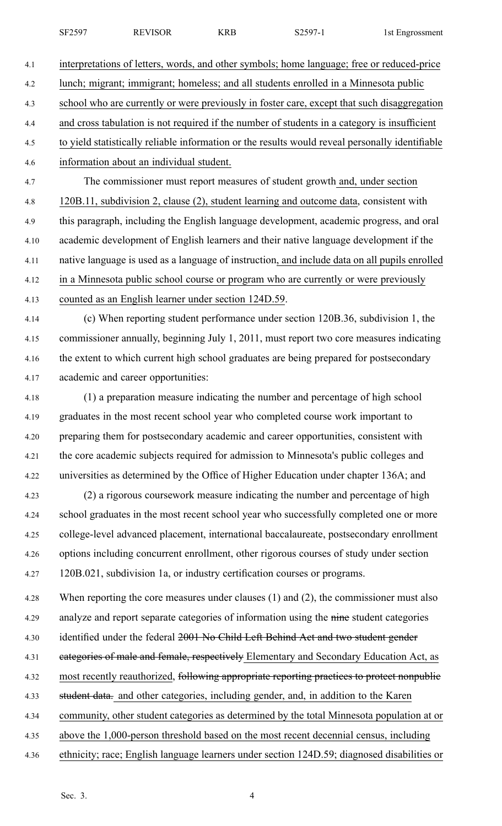SF2597 REVISOR KRB S2597-1 1st Engrossment

4.1 interpretations of letters, words, and other symbols; home language; free or reduced-price 4.2 lunch; migrant; immigrant; homeless; and all students enrolled in <sup>a</sup> Minnesota public 4.3 school who are currently or were previously in foster care, excep<sup>t</sup> that such disaggregation 4.4 and cross tabulation is not required if the number of students in <sup>a</sup> category is insufficient 4.5 to yield statistically reliable information or the results would reveal personally identifiable 4.6 information about an individual student.

4.7 The commissioner must repor<sup>t</sup> measures of student growth and, under section 4.8 120B.11, subdivision 2, clause (2), student learning and outcome data, consistent with 4.9 this paragraph, including the English language development, academic progress, and oral 4.10 academic development of English learners and their native language development if the 4.11 native language is used as <sup>a</sup> language of instruction, and include data on all pupils enrolled 4.12 in <sup>a</sup> Minnesota public school course or program who are currently or were previously 4.13 counted as an English learner under section 124D.59.

4.14 (c) When reporting student performance under section 120B.36, subdivision 1, the 4.15 commissioner annually, beginning July 1, 2011, must repor<sup>t</sup> two core measures indicating 4.16 the extent to which current high school graduates are being prepared for postsecondary 4.17 academic and career opportunities:

4.18 (1) <sup>a</sup> preparation measure indicating the number and percentage of high school 4.19 graduates in the most recent school year who completed course work important to 4.20 preparing them for postsecondary academic and career opportunities, consistent with 4.21 the core academic subjects required for admission to Minnesota's public colleges and 4.22 universities as determined by the Office of Higher Education under chapter 136A; and 4.23 (2) <sup>a</sup> rigorous coursework measure indicating the number and percentage of high 4.24 school graduates in the most recent school year who successfully completed one or more 4.25 college-level advanced placement, international baccalaureate, postsecondary enrollment

4.26 options including concurrent enrollment, other rigorous courses of study under section 4.27 120B.021, subdivision 1a, or industry certification courses or programs.

4.28 When reporting the core measures under clauses (1) and (2), the commissioner must also 4.29 analyze and repor<sup>t</sup> separate categories of information using the nine student categories

4.30 identified under the federal 2001 No Child Left Behind Act and two student gender

4.31 eategories of male and female, respectively Elementary and Secondary Education Act, as

4.32 most recently reauthorized, following appropriate reporting practices to protect nonpublic

4.33 student data. and other categories, including gender, and, in addition to the Karen

4.34 community, other student categories as determined by the total Minnesota population at or

4.35 above the 1,000-person threshold based on the most recent decennial census, including

4.36 ethnicity; race; English language learners under section 124D.59; diagnosed disabilities or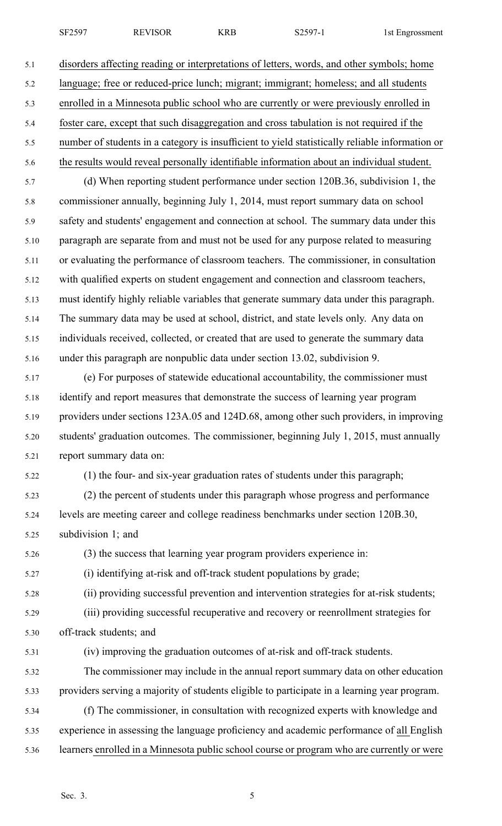SF2597 REVISOR KRB S2597-1 1st Engrossment

5.1 disorders affecting reading or interpretations of letters, words, and other symbols; home 5.2 language; free or reduced-price lunch; migrant; immigrant; homeless; and all students 5.3 enrolled in <sup>a</sup> Minnesota public school who are currently or were previously enrolled in 5.4 foster care, excep<sup>t</sup> that such disaggregation and cross tabulation is not required if the 5.5 number of students in <sup>a</sup> category is insufficient to yield statistically reliable information or 5.6 the results would reveal personally identifiable information about an individual student. 5.7 (d) When reporting student performance under section 120B.36, subdivision 1, the 5.8 commissioner annually, beginning July 1, 2014, must repor<sup>t</sup> summary data on school 5.9 safety and students' engagemen<sup>t</sup> and connection at school. The summary data under this 5.10 paragraph are separate from and must not be used for any purpose related to measuring 5.11 or evaluating the performance of classroom teachers. The commissioner, in consultation 5.12 with qualified experts on student engagemen<sup>t</sup> and connection and classroom teachers, 5.13 must identify highly reliable variables that generate summary data under this paragraph. 5.14 The summary data may be used at school, district, and state levels only. Any data on 5.15 individuals received, collected, or created that are used to generate the summary data 5.16 under this paragraph are nonpublic data under section 13.02, subdivision 9. 5.17 (e) For purposes of statewide educational accountability, the commissioner must 5.18 identify and repor<sup>t</sup> measures that demonstrate the success of learning year program 5.19 providers under sections 123A.05 and 124D.68, among other such providers, in improving 5.20 students' graduation outcomes. The commissioner, beginning July 1, 2015, must annually 5.21 repor<sup>t</sup> summary data on: 5.22 (1) the four- and six-year graduation rates of students under this paragraph; 5.23 (2) the percen<sup>t</sup> of students under this paragraph whose progress and performance 5.24 levels are meeting career and college readiness benchmarks under section 120B.30, 5.25 subdivision 1; and 5.26 (3) the success that learning year program providers experience in: 5.27 (i) identifying at-risk and off-track student populations by grade; 5.28 (ii) providing successful prevention and intervention strategies for at-risk students; 5.29 (iii) providing successful recuperative and recovery or reenrollment strategies for 5.30 off-track students; and 5.31 (iv) improving the graduation outcomes of at-risk and off-track students.

5.32 The commissioner may include in the annual repor<sup>t</sup> summary data on other education 5.33 providers serving <sup>a</sup> majority of students eligible to participate in <sup>a</sup> learning year program.

5.34 (f) The commissioner, in consultation with recognized experts with knowledge and 5.35 experience in assessing the language proficiency and academic performance of all English 5.36 learners enrolled in <sup>a</sup> Minnesota public school course or program who are currently or were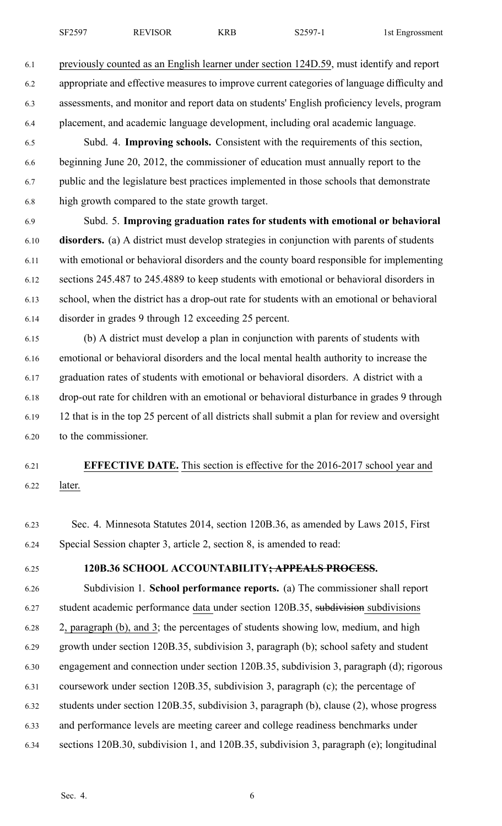6.1 previously counted as an English learner under section 124D.59, must identify and repor<sup>t</sup> 6.2 appropriate and effective measures to improve current categories of language difficulty and 6.3 assessments, and monitor and repor<sup>t</sup> data on students' English proficiency levels, program 6.4 placement, and academic language development, including oral academic language.

6.5 Subd. 4. **Improving schools.** Consistent with the requirements of this section, 6.6 beginning June 20, 2012, the commissioner of education must annually repor<sup>t</sup> to the 6.7 public and the legislature best practices implemented in those schools that demonstrate 6.8 high growth compared to the state growth target.

6.9 Subd. 5. **Improving graduation rates for students with emotional or behavioral** 6.10 **disorders.** (a) A district must develop strategies in conjunction with parents of students 6.11 with emotional or behavioral disorders and the county board responsible for implementing 6.12 sections 245.487 to 245.4889 to keep students with emotional or behavioral disorders in 6.13 school, when the district has <sup>a</sup> drop-out rate for students with an emotional or behavioral 6.14 disorder in grades 9 through 12 exceeding 25 percent.

6.15 (b) A district must develop <sup>a</sup> plan in conjunction with parents of students with 6.16 emotional or behavioral disorders and the local mental health authority to increase the 6.17 graduation rates of students with emotional or behavioral disorders. A district with <sup>a</sup> 6.18 drop-out rate for children with an emotional or behavioral disturbance in grades 9 through 6.19 12 that is in the top 25 percen<sup>t</sup> of all districts shall submit <sup>a</sup> plan for review and oversight 6.20 to the commissioner.

# 6.21 **EFFECTIVE DATE.** This section is effective for the 2016-2017 school year and 6.22 later.

6.23 Sec. 4. Minnesota Statutes 2014, section 120B.36, as amended by Laws 2015, First 6.24 Special Session chapter 3, article 2, section 8, is amended to read:

### 6.25 **120B.36 SCHOOL ACCOUNTABILITY; APPEALS PROCESS.**

6.26 Subdivision 1. **School performance reports.** (a) The commissioner shall repor<sup>t</sup> 6.27 student academic performance data under section 120B.35, subdivision subdivisions 6.28 2, paragraph (b), and 3; the percentages of students showing low, medium, and high 6.29 growth under section 120B.35, subdivision 3, paragraph (b); school safety and student 6.30 engagemen<sup>t</sup> and connection under section 120B.35, subdivision 3, paragraph (d); rigorous 6.31 coursework under section 120B.35, subdivision 3, paragraph (c); the percentage of 6.32 students under section 120B.35, subdivision 3, paragraph (b), clause (2), whose progress 6.33 and performance levels are meeting career and college readiness benchmarks under 6.34 sections 120B.30, subdivision 1, and 120B.35, subdivision 3, paragraph (e); longitudinal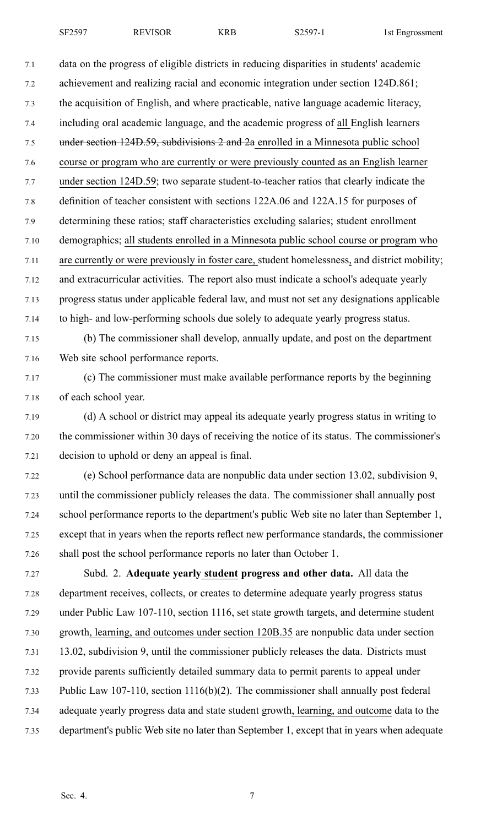7.1 data on the progress of eligible districts in reducing disparities in students' academic 7.2 achievement and realizing racial and economic integration under section 124D.861; 7.3 the acquisition of English, and where practicable, native language academic literacy, 7.4 including oral academic language, and the academic progress of all English learners 7.5 under section 124D.59, subdivisions 2 and 2a enrolled in <sup>a</sup> Minnesota public school 7.6 course or program who are currently or were previously counted as an English learner 7.7 under section 124D.59; two separate student-to-teacher ratios that clearly indicate the 7.8 definition of teacher consistent with sections 122A.06 and 122A.15 for purposes of 7.9 determining these ratios; staff characteristics excluding salaries; student enrollment 7.10 demographics; all students enrolled in <sup>a</sup> Minnesota public school course or program who 7.11 are currently or were previously in foster care, student homelessness, and district mobility; 7.12 and extracurricular activities. The repor<sup>t</sup> also must indicate <sup>a</sup> school's adequate yearly 7.13 progress status under applicable federal law, and must not set any designations applicable 7.14 to high- and low-performing schools due solely to adequate yearly progress status. 7.15 (b) The commissioner shall develop, annually update, and pos<sup>t</sup> on the department

7.16 Web site school performance reports.

- 7.17 (c) The commissioner must make available performance reports by the beginning 7.18 of each school year.
- 7.19 (d) A school or district may appeal its adequate yearly progress status in writing to 7.20 the commissioner within 30 days of receiving the notice of its status. The commissioner's 7.21 decision to uphold or deny an appeal is final.
- 7.22 (e) School performance data are nonpublic data under section 13.02, subdivision 9, 7.23 until the commissioner publicly releases the data. The commissioner shall annually pos<sup>t</sup> 7.24 school performance reports to the department's public Web site no later than September 1, 7.25 excep<sup>t</sup> that in years when the reports reflect new performance standards, the commissioner 7.26 shall pos<sup>t</sup> the school performance reports no later than October 1.
- 7.27 Subd. 2. **Adequate yearly student progress and other data.** All data the 7.28 department receives, collects, or creates to determine adequate yearly progress status 7.29 under Public Law 107-110, section 1116, set state growth targets, and determine student 7.30 growth, learning, and outcomes under section 120B.35 are nonpublic data under section 7.31 13.02, subdivision 9, until the commissioner publicly releases the data. Districts must 7.32 provide parents sufficiently detailed summary data to permit parents to appeal under 7.33 Public Law 107-110, section 1116(b)(2). The commissioner shall annually pos<sup>t</sup> federal 7.34 adequate yearly progress data and state student growth, learning, and outcome data to the 7.35 department's public Web site no later than September 1, excep<sup>t</sup> that in years when adequate